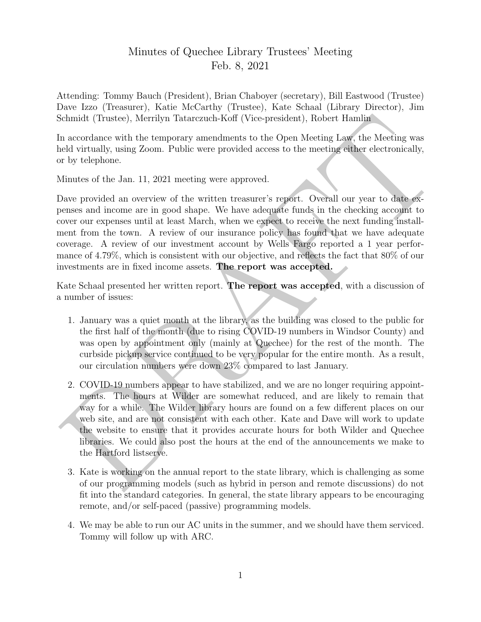## Minutes of Quechee Library Trustees' Meeting Feb. 8, 2021

Attending: Tommy Bauch (President), Brian Chaboyer (secretary), Bill Eastwood (Trustee) Dave Izzo (Treasurer), Katie McCarthy (Trustee), Kate Schaal (Library Director), Jim Schmidt (Trustee), Merrilyn Tatarczuch-Koff (Vice-president), Robert Hamlin

In accordance with the temporary amendments to the Open Meeting Law, the Meeting was held virtually, using Zoom. Public were provided access to the meeting either electronically, or by telephone.

Minutes of the Jan. 11, 2021 meeting were approved.

Schmidt (Trustee), Merrilyn Talian<br>zanel-Koff (Vice-president), Robert Handia and a accordance with the temporary amendments to the Open Mecting faxy, the Meching was<br>neld virtually, using Zoom. Public were provided acces Dave provided an overview of the written treasurer's report. Overall our year to date expenses and income are in good shape. We have adequate funds in the checking account to cover our expenses until at least March, when we expect to receive the next funding installment from the town. A review of our insurance policy has found that we have adequate coverage. A review of our investment account by Wells Fargo reported a 1 year performance of 4.79%, which is consistent with our objective, and reflects the fact that 80% of our investments are in fixed income assets. The report was accepted.

Kate Schaal presented her written report. The report was accepted, with a discussion of a number of issues:

- 1. January was a quiet month at the library, as the building was closed to the public for the first half of the month (due to rising COVID-19 numbers in Windsor County) and was open by appointment only (mainly at Quechee) for the rest of the month. The curbside pickup service continued to be very popular for the entire month. As a result, our circulation numbers were down 23% compared to last January.
- 2. COVID-19 numbers appear to have stabilized, and we are no longer requiring appointments. The hours at Wilder are somewhat reduced, and are likely to remain that way for a while. The Wilder library hours are found on a few different places on our web site, and are not consistent with each other. Kate and Dave will work to update the website to ensure that it provides accurate hours for both Wilder and Quechee libraries. We could also post the hours at the end of the announcements we make to the Hartford listserve.
- 3. Kate is working on the annual report to the state library, which is challenging as some of our programming models (such as hybrid in person and remote discussions) do not fit into the standard categories. In general, the state library appears to be encouraging remote, and/or self-paced (passive) programming models.
- 4. We may be able to run our AC units in the summer, and we should have them serviced. Tommy will follow up with ARC.